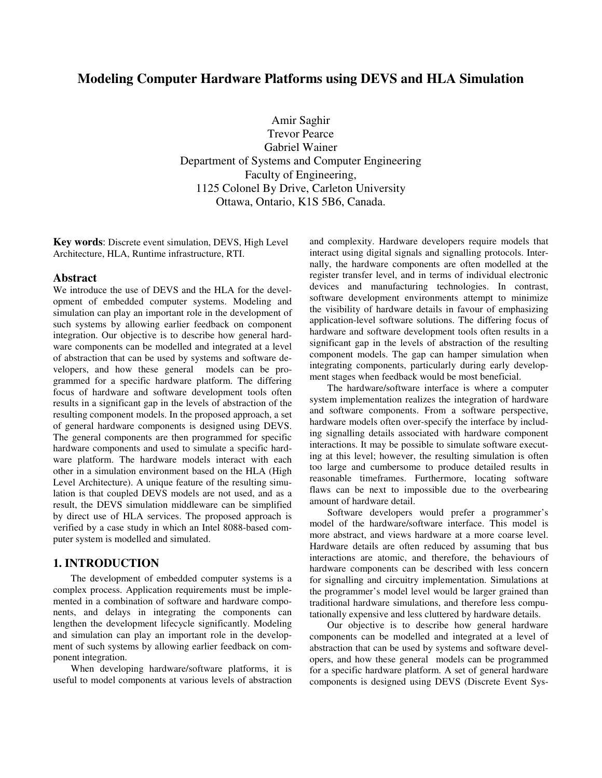# **Modeling Computer Hardware Platforms using DEVS and HLA Simulation**

Amir Saghir Trevor Pearce Gabriel Wainer Department of Systems and Computer Engineering Faculty of Engineering, 1125 Colonel By Drive, Carleton University Ottawa, Ontario, K1S 5B6, Canada.

**Key words**: Discrete event simulation, DEVS, High Level Architecture, HLA, Runtime infrastructure, RTI.

### **Abstract**

We introduce the use of DEVS and the HLA for the development of embedded computer systems. Modeling and simulation can play an important role in the development of such systems by allowing earlier feedback on component integration. Our objective is to describe how general hardware components can be modelled and integrated at a level of abstraction that can be used by systems and software developers, and how these general models can be programmed for a specific hardware platform. The differing focus of hardware and software development tools often results in a significant gap in the levels of abstraction of the resulting component models. In the proposed approach, a set of general hardware components is designed using DEVS. The general components are then programmed for specific hardware components and used to simulate a specific hardware platform. The hardware models interact with each other in a simulation environment based on the HLA (High Level Architecture). A unique feature of the resulting simulation is that coupled DEVS models are not used, and as a result, the DEVS simulation middleware can be simplified by direct use of HLA services. The proposed approach is verified by a case study in which an Intel 8088-based computer system is modelled and simulated.

## **1. INTRODUCTION**

The development of embedded computer systems is a complex process. Application requirements must be implemented in a combination of software and hardware components, and delays in integrating the components can lengthen the development lifecycle significantly. Modeling and simulation can play an important role in the development of such systems by allowing earlier feedback on component integration.

When developing hardware/software platforms, it is useful to model components at various levels of abstraction and complexity. Hardware developers require models that interact using digital signals and signalling protocols. Internally, the hardware components are often modelled at the register transfer level, and in terms of individual electronic devices and manufacturing technologies. In contrast, software development environments attempt to minimize the visibility of hardware details in favour of emphasizing application-level software solutions. The differing focus of hardware and software development tools often results in a significant gap in the levels of abstraction of the resulting component models. The gap can hamper simulation when integrating components, particularly during early development stages when feedback would be most beneficial.

The hardware/software interface is where a computer system implementation realizes the integration of hardware and software components. From a software perspective, hardware models often over-specify the interface by including signalling details associated with hardware component interactions. It may be possible to simulate software executing at this level; however, the resulting simulation is often too large and cumbersome to produce detailed results in reasonable timeframes. Furthermore, locating software flaws can be next to impossible due to the overbearing amount of hardware detail.

Software developers would prefer a programmer's model of the hardware/software interface. This model is more abstract, and views hardware at a more coarse level. Hardware details are often reduced by assuming that bus interactions are atomic, and therefore, the behaviours of hardware components can be described with less concern for signalling and circuitry implementation. Simulations at the programmer's model level would be larger grained than traditional hardware simulations, and therefore less computationally expensive and less cluttered by hardware details.

Our objective is to describe how general hardware components can be modelled and integrated at a level of abstraction that can be used by systems and software developers, and how these general models can be programmed for a specific hardware platform. A set of general hardware components is designed using DEVS (Discrete Event Sys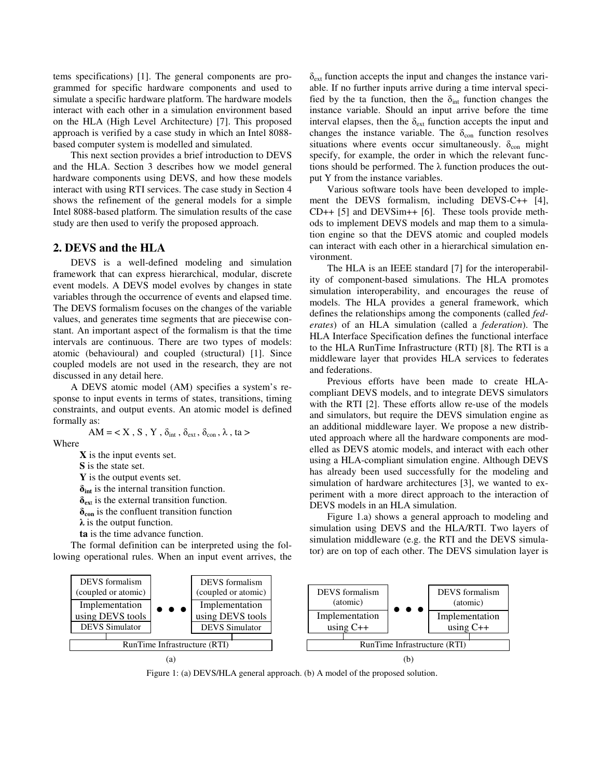tems specifications) [1]. The general components are programmed for specific hardware components and used to simulate a specific hardware platform. The hardware models interact with each other in a simulation environment based on the HLA (High Level Architecture) [7]. This proposed approach is verified by a case study in which an Intel 8088 based computer system is modelled and simulated.

This next section provides a brief introduction to DEVS and the HLA. Section 3 describes how we model general hardware components using DEVS, and how these models interact with using RTI services. The case study in Section 4 shows the refinement of the general models for a simple Intel 8088-based platform. The simulation results of the case study are then used to verify the proposed approach.

### **2. DEVS and the HLA**

DEVS is a well-defined modeling and simulation framework that can express hierarchical, modular, discrete event models. A DEVS model evolves by changes in state variables through the occurrence of events and elapsed time. The DEVS formalism focuses on the changes of the variable values, and generates time segments that are piecewise constant. An important aspect of the formalism is that the time intervals are continuous. There are two types of models: atomic (behavioural) and coupled (structural) [1]. Since coupled models are not used in the research, they are not discussed in any detail here.

A DEVS atomic model (AM) specifies a system's response to input events in terms of states, transitions, timing constraints, and output events. An atomic model is defined formally as:

AM = 
$$
\langle X, S, Y, \delta_{int}, \delta_{ext}, \delta_{con}, \lambda, ta \rangle
$$

Where

**X** is the input events set.

**S** is the state set.

**Y** is the output events set.

 $\delta_{\text{int}}$  is the internal transition function.

 $\delta_{ext}$  is the external transition function.

 $\delta_{\rm con}$  is the confluent transition function

 $\lambda$  is the output function.

**ta** is the time advance function.

The formal definition can be interpreted using the following operational rules. When an input event arrives, the  $\delta_{\rm ext}$  function accepts the input and changes the instance variable. If no further inputs arrive during a time interval specified by the ta function, then the  $\delta_{int}$  function changes the instance variable. Should an input arrive before the time interval elapses, then the  $\delta_{ext}$  function accepts the input and changes the instance variable. The  $\delta_{\text{con}}$  function resolves situations where events occur simultaneously.  $\delta_{\rm con}$  might specify, for example, the order in which the relevant functions should be performed. The  $\lambda$  function produces the output Y from the instance variables.

Various software tools have been developed to implement the DEVS formalism, including DEVS-C++ [4], CD++ [5] and DEVSim++ [6]. These tools provide methods to implement DEVS models and map them to a simulation engine so that the DEVS atomic and coupled models can interact with each other in a hierarchical simulation environment.

The HLA is an IEEE standard [7] for the interoperability of component-based simulations. The HLA promotes simulation interoperability, and encourages the reuse of models. The HLA provides a general framework, which defines the relationships among the components (called *federates*) of an HLA simulation (called a *federation*). The HLA Interface Specification defines the functional interface to the HLA RunTime Infrastructure (RTI) [8]. The RTI is a middleware layer that provides HLA services to federates and federations.

Previous efforts have been made to create HLAcompliant DEVS models, and to integrate DEVS simulators with the RTI [2]. These efforts allow re-use of the models and simulators, but require the DEVS simulation engine as an additional middleware layer. We propose a new distributed approach where all the hardware components are modelled as DEVS atomic models, and interact with each other using a HLA-compliant simulation engine. Although DEVS has already been used successfully for the modeling and simulation of hardware architectures [3], we wanted to experiment with a more direct approach to the interaction of DEVS models in an HLA simulation.

Figure 1.a) shows a general approach to modeling and simulation using DEVS and the HLA/RTI. Two layers of simulation middleware (e.g. the RTI and the DEVS simulator) are on top of each other. The DEVS simulation layer is



Figure 1: (a) DEVS/HLA general approach. (b) A model of the proposed solution.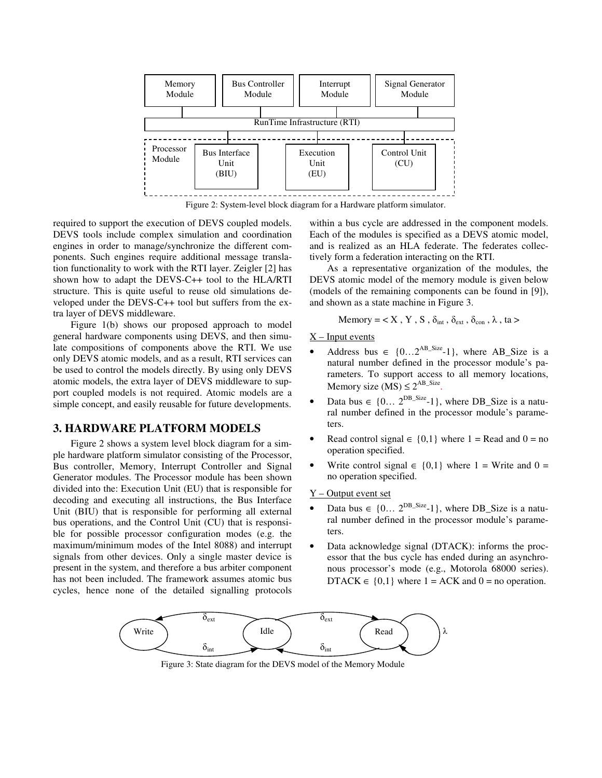

Figure 2: System-level block diagram for a Hardware platform simulator.

required to support the execution of DEVS coupled models. DEVS tools include complex simulation and coordination engines in order to manage/synchronize the different components. Such engines require additional message translation functionality to work with the RTI layer. Zeigler [2] has shown how to adapt the DEVS-C++ tool to the HLA/RTI structure. This is quite useful to reuse old simulations developed under the DEVS-C++ tool but suffers from the extra layer of DEVS middleware.

Figure 1(b) shows our proposed approach to model general hardware components using DEVS, and then simulate compositions of components above the RTI. We use only DEVS atomic models, and as a result, RTI services can be used to control the models directly. By using only DEVS atomic models, the extra layer of DEVS middleware to support coupled models is not required. Atomic models are a simple concept, and easily reusable for future developments.

## **3. HARDWARE PLATFORM MODELS**

Figure 2 shows a system level block diagram for a simple hardware platform simulator consisting of the Processor, Bus controller, Memory, Interrupt Controller and Signal Generator modules. The Processor module has been shown divided into the: Execution Unit (EU) that is responsible for decoding and executing all instructions, the Bus Interface Unit (BIU) that is responsible for performing all external bus operations, and the Control Unit (CU) that is responsible for possible processor configuration modes (e.g. the maximum/minimum modes of the Intel 8088) and interrupt signals from other devices. Only a single master device is present in the system, and therefore a bus arbiter component has not been included. The framework assumes atomic bus cycles, hence none of the detailed signalling protocols within a bus cycle are addressed in the component models. Each of the modules is specified as a DEVS atomic model, and is realized as an HLA federate. The federates collectively form a federation interacting on the RTI.

As a representative organization of the modules, the DEVS atomic model of the memory module is given below (models of the remaining components can be found in [9]), and shown as a state machine in Figure 3.

Memory = 
$$
\langle X, Y, S, \delta_{int}, \delta_{ext}, \delta_{cont}, \lambda, ta \rangle
$$

 $X$  – Input events

- Address bus  $\in \{0...2^{AB\_Size}-1\}$ , where AB\_Size is a natural number defined in the processor module's parameters. To support access to all memory locations, Memory size  $(MS) \leq 2^{AB\_Size}$ .
- Data bus  $\in \{0... 2^{DB\_Size} 1\}$ , where DB\_Size is a natural number defined in the processor module's parameters.
- Read control signal  $\in \{0,1\}$  where 1 = Read and 0 = no operation specified.
- Write control signal  $\in \{0,1\}$  where 1 = Write and 0 = no operation specified.

#### Y – Output event set

- Data bus  $\in \{0... 2^{DB\_Size} 1\}$ , where DB\_Size is a natural number defined in the processor module's parameters.
- Data acknowledge signal (DTACK): informs the processor that the bus cycle has ended during an asynchronous processor's mode (e.g., Motorola 68000 series). DTACK  $\in \{0,1\}$  where  $1 = ACK$  and  $0 = no$  operation.



Figure 3: State diagram for the DEVS model of the Memory Module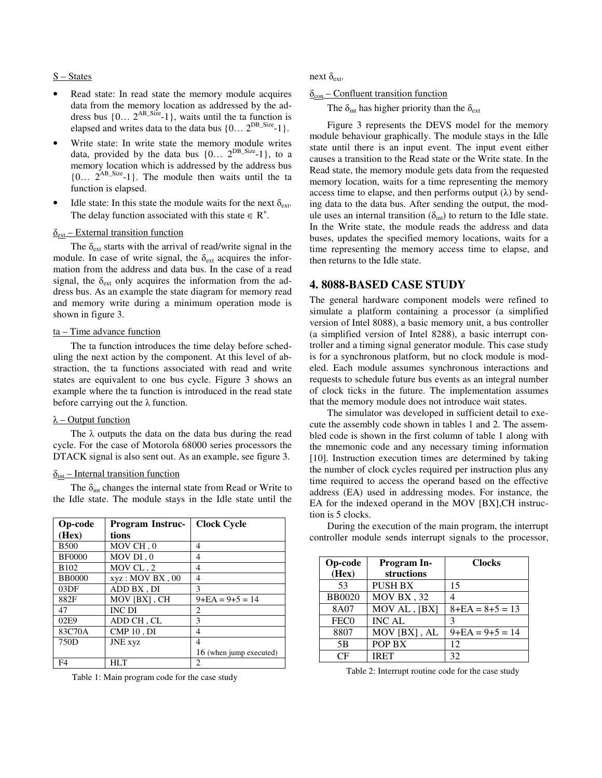### S – States

- Read state: In read state the memory module acquires data from the memory location as addressed by the address bus  $\{0... 2^{AB\_Size} - 1\}$ , waits until the ta function is elapsed and writes data to the data bus  $\{0... 2^{DB\_Size} - 1\}$ .
- Write state: In write state the memory module writes data, provided by the data bus  $\{0... 2^{DB\_Size}-1\}$ , to a memory location which is addressed by the address bus  ${0... 2^{AB\_Size}-1}$ . The module then waits until the ta function is elapsed.
- Idle state: In this state the module waits for the next  $\delta_{ext}$ . The delay function associated with this state  $\in$  R<sup>+</sup>.

#### $\delta_{ext}$  – External transition function

The  $\delta_{ext}$  starts with the arrival of read/write signal in the module. In case of write signal, the  $\delta_{ext}$  acquires the information from the address and data bus. In the case of a read signal, the  $\delta_{ext}$  only acquires the information from the address bus. As an example the state diagram for memory read and memory write during a minimum operation mode is shown in figure 3.

### $ta$  – Time advance function

The ta function introduces the time delay before scheduling the next action by the component. At this level of abstraction, the ta functions associated with read and write states are equivalent to one bus cycle. Figure 3 shows an example where the ta function is introduced in the read state before carrying out the  $\lambda$  function.

# $\lambda$  – Output function

The  $\lambda$  outputs the data on the data bus during the read cycle. For the case of Motorola 68000 series processors the DTACK signal is also sent out. As an example, see figure 3.

#### $\delta_{\text{int}}$  – Internal transition function

The  $\delta_{\text{int}}$  changes the internal state from Read or Write to the Idle state. The module stays in the Idle state until the

| <b>Op-code</b> | <b>Program Instruc-</b> | <b>Clock Cycle</b>          |
|----------------|-------------------------|-----------------------------|
| (Hex)          | tions                   |                             |
| <b>B500</b>    | MOV CH, 0               | 4                           |
| <b>BF0000</b>  | MOV DI, 0               | 4                           |
| <b>B102</b>    | MOV CL, 2               | 4                           |
| <b>BB0000</b>  | xyz: MOV BX, 00         | 4                           |
| 03DF           | ADD BX, DI              | 3                           |
| 882F           | MOV [BX], CH            | $9 + EA = 9 + 5 = 14$       |
| 47             | <b>INC DI</b>           | $\mathcal{D}_{\mathcal{L}}$ |
| 02E9           | ADD CH, CL              | 3                           |
| 83C70A         | CMP10, DI               | 4                           |
| 750D           | <b>JNE</b> xyz          | 4                           |
|                |                         | 16 (when jump executed)     |
| F <sub>4</sub> | HLT                     | 2                           |

Table 1: Main program code for the case study

next  $\delta_{\text{ext}}$ .

 $\delta_{\rm con}$  – Confluent transition function

The  $\delta_{\text{int}}$  has higher priority than the  $\delta_{\text{ext}}$ 

Figure 3 represents the DEVS model for the memory module behaviour graphically. The module stays in the Idle state until there is an input event. The input event either causes a transition to the Read state or the Write state. In the Read state, the memory module gets data from the requested memory location, waits for a time representing the memory access time to elapse, and then performs output  $(\lambda)$  by sending data to the data bus. After sending the output, the module uses an internal transition  $(\delta_{int})$  to return to the Idle state. In the Write state, the module reads the address and data buses, updates the specified memory locations, waits for a time representing the memory access time to elapse, and then returns to the Idle state.

### **4. 8088-BASED CASE STUDY**

The general hardware component models were refined to simulate a platform containing a processor (a simplified version of Intel 8088), a basic memory unit, a bus controller (a simplified version of Intel 8288), a basic interrupt controller and a timing signal generator module. This case study is for a synchronous platform, but no clock module is modeled. Each module assumes synchronous interactions and requests to schedule future bus events as an integral number of clock ticks in the future. The implementation assumes that the memory module does not introduce wait states.

The simulator was developed in sufficient detail to execute the assembly code shown in tables 1 and 2. The assembled code is shown in the first column of table 1 along with the mnemonic code and any necessary timing information [10]. Instruction execution times are determined by taking the number of clock cycles required per instruction plus any time required to access the operand based on the effective address (EA) used in addressing modes. For instance, the EA for the indexed operand in the MOV [BX],CH instruction is 5 clocks.

During the execution of the main program, the interrupt controller module sends interrupt signals to the processor,

| <b>Op-code</b><br>(Hex) | <b>Program In-</b><br>structions | <b>Clocks</b>         |
|-------------------------|----------------------------------|-----------------------|
| 53                      | <b>PUSH BX</b>                   | 15                    |
| <b>BB0020</b>           | MOV BX, 32                       | 4                     |
| 8A07                    | MOV AL, [BX]                     | $8 + EA = 8 + 5 = 13$ |
| FEC <sub>0</sub>        | <b>INC AL</b>                    | $\mathcal{R}$         |
| 8807                    | MOV [BX], AL                     | $9 + EA = 9 + 5 = 14$ |
| 5B                      | POP BX                           | 12                    |
| CF                      | <b>IRET</b>                      | 32                    |

Table 2: Interrupt routine code for the case study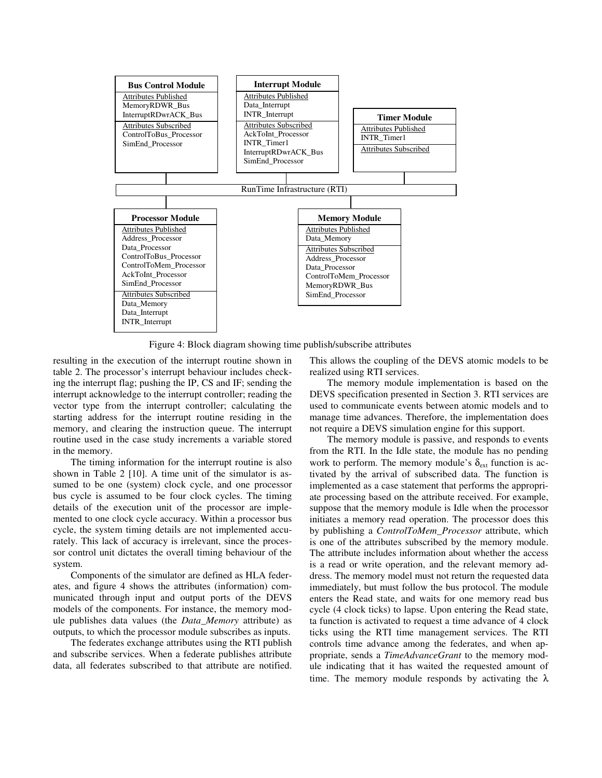

Figure 4: Block diagram showing time publish/subscribe attributes

resulting in the execution of the interrupt routine shown in table 2. The processor's interrupt behaviour includes checking the interrupt flag; pushing the IP, CS and IF; sending the interrupt acknowledge to the interrupt controller; reading the vector type from the interrupt controller; calculating the starting address for the interrupt routine residing in the memory, and clearing the instruction queue. The interrupt routine used in the case study increments a variable stored in the memory.

The timing information for the interrupt routine is also shown in Table 2 [10]. A time unit of the simulator is assumed to be one (system) clock cycle, and one processor bus cycle is assumed to be four clock cycles. The timing details of the execution unit of the processor are implemented to one clock cycle accuracy. Within a processor bus cycle, the system timing details are not implemented accurately. This lack of accuracy is irrelevant, since the processor control unit dictates the overall timing behaviour of the system.

Components of the simulator are defined as HLA federates, and figure 4 shows the attributes (information) communicated through input and output ports of the DEVS models of the components. For instance, the memory module publishes data values (the *Data\_Memory* attribute) as outputs, to which the processor module subscribes as inputs.

The federates exchange attributes using the RTI publish and subscribe services. When a federate publishes attribute data, all federates subscribed to that attribute are notified. This allows the coupling of the DEVS atomic models to be realized using RTI services.

The memory module implementation is based on the DEVS specification presented in Section 3. RTI services are used to communicate events between atomic models and to manage time advances. Therefore, the implementation does not require a DEVS simulation engine for this support.

The memory module is passive, and responds to events from the RTI. In the Idle state, the module has no pending work to perform. The memory module's  $\delta_{ext}$  function is activated by the arrival of subscribed data. The function is implemented as a case statement that performs the appropriate processing based on the attribute received. For example, suppose that the memory module is Idle when the processor initiates a memory read operation. The processor does this by publishing a *ControlToMem\_Processor* attribute, which is one of the attributes subscribed by the memory module. The attribute includes information about whether the access is a read or write operation, and the relevant memory address. The memory model must not return the requested data immediately, but must follow the bus protocol. The module enters the Read state, and waits for one memory read bus cycle (4 clock ticks) to lapse. Upon entering the Read state, ta function is activated to request a time advance of 4 clock ticks using the RTI time management services. The RTI controls time advance among the federates, and when appropriate, sends a *TimeAdvanceGrant* to the memory module indicating that it has waited the requested amount of time. The memory module responds by activating the  $\lambda$